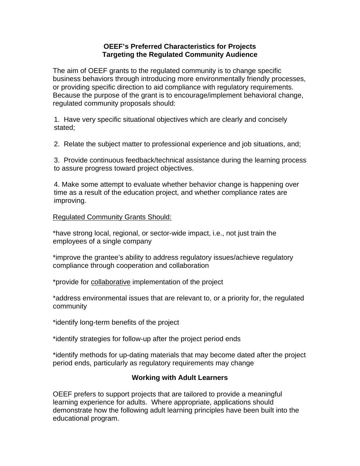## **OEEF's Preferred Characteristics for Projects Targeting the Regulated Community Audience**

The aim of OEEF grants to the regulated community is to change specific business behaviors through introducing more environmentally friendly processes, or providing specific direction to aid compliance with regulatory requirements. Because the purpose of the grant is to encourage/implement behavioral change, regulated community proposals should:

1. Have very specific situational objectives which are clearly and concisely stated;

2. Relate the subject matter to professional experience and job situations, and;

3. Provide continuous feedback/technical assistance during the learning process to assure progress toward project objectives.

4. Make some attempt to evaluate whether behavior change is happening over time as a result of the education project, and whether compliance rates are improving.

## Regulated Community Grants Should:

\*have strong local, regional, or sector-wide impact, i.e., not just train the employees of a single company

\*improve the grantee's ability to address regulatory issues/achieve regulatory compliance through cooperation and collaboration

\*provide for collaborative implementation of the project

\*address environmental issues that are relevant to, or a priority for, the regulated community

\*identify long-term benefits of the project

\*identify strategies for follow-up after the project period ends

\*identify methods for up-dating materials that may become dated after the project period ends, particularly as regulatory requirements may change

## **Working with Adult Learners**

OEEF prefers to support projects that are tailored to provide a meaningful learning experience for adults. Where appropriate, applications should demonstrate how the following adult learning principles have been built into the educational program.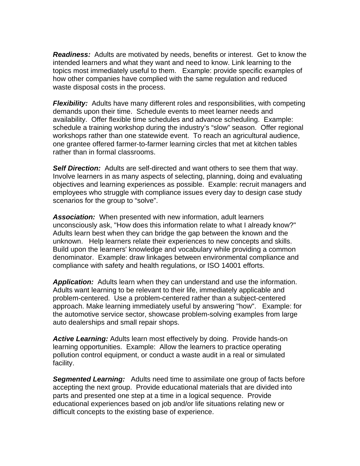*Readiness:* Adults are motivated by needs, benefits or interest. Get to know the intended learners and what they want and need to know. Link learning to the topics most immediately useful to them. Example: provide specific examples of how other companies have complied with the same regulation and reduced waste disposal costs in the process.

*Flexibility:* Adults have many different roles and responsibilities, with competing demands upon their time. Schedule events to meet learner needs and availability. Offer flexible time schedules and advance scheduling. Example: schedule a training workshop during the industry's "slow" season. Offer regional workshops rather than one statewide event. To reach an agricultural audience, one grantee offered farmer-to-farmer learning circles that met at kitchen tables rather than in formal classrooms.

*Self Direction:* Adults are self-directed and want others to see them that way. Involve learners in as many aspects of selecting, planning, doing and evaluating objectives and learning experiences as possible. Example: recruit managers and employees who struggle with compliance issues every day to design case study scenarios for the group to "solve".

*Association:* When presented with new information, adult learners unconsciously ask, "How does this information relate to what I already know?" Adults learn best when they can bridge the gap between the known and the unknown. Help learners relate their experiences to new concepts and skills. Build upon the learners' knowledge and vocabulary while providing a common denominator. Example: draw linkages between environmental compliance and compliance with safety and health regulations, or ISO 14001 efforts.

*Application:* Adults learn when they can understand and use the information. Adults want learning to be relevant to their life, immediately applicable and problem-centered. Use a problem-centered rather than a subject-centered approach. Make learning immediately useful by answering "how". Example: for the automotive service sector, showcase problem-solving examples from large auto dealerships and small repair shops.

*Active Learning:* Adults learn most effectively by doing. Provide hands-on learning opportunities. Example: Allow the learners to practice operating pollution control equipment, or conduct a waste audit in a real or simulated facility.

*Segmented Learning:* Adults need time to assimilate one group of facts before accepting the next group. Provide educational materials that are divided into parts and presented one step at a time in a logical sequence. Provide educational experiences based on job and/or life situations relating new or difficult concepts to the existing base of experience.